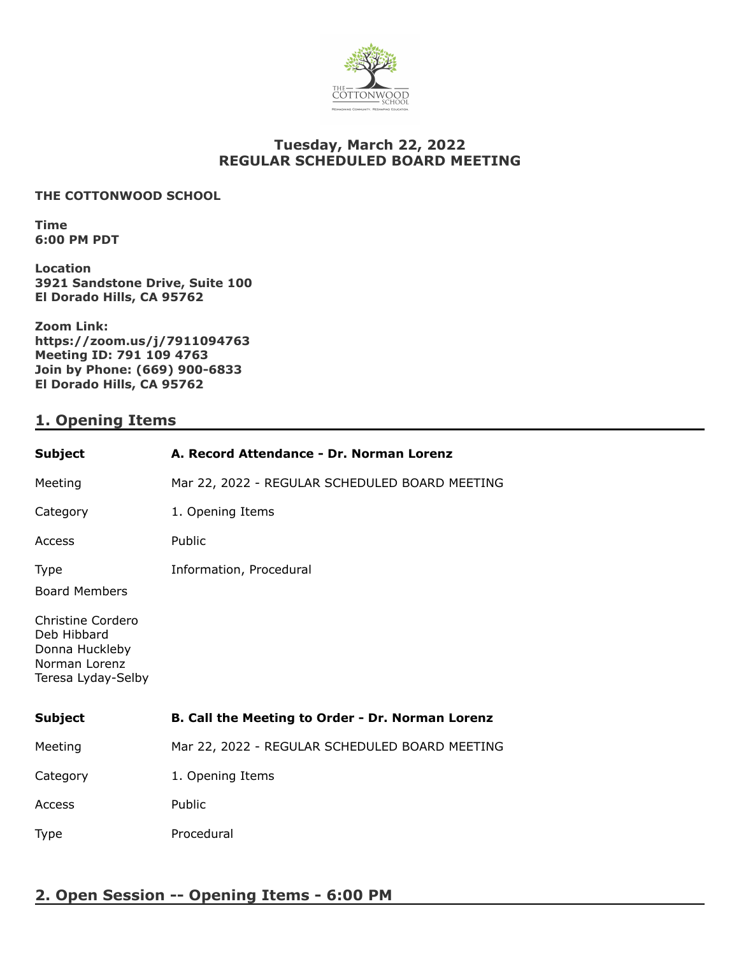

## **Tuesday, March 22, 2022 REGULAR SCHEDULED BOARD MEETING**

#### **THE COTTONWOOD SCHOOL**

**Time 6:00 PM PDT**

**Location 3921 Sandstone Drive, Suite 100 El Dorado Hills, CA 95762**

**Zoom Link: https://zoom.us/j/7911094763 Meeting ID: 791 109 4763 Join by Phone: (669) 900-6833 El Dorado Hills, CA 95762**

## **1. Opening Items**

| <b>Subject</b>                                                          | A. Record Attendance - Dr. Norman Lorenz         |
|-------------------------------------------------------------------------|--------------------------------------------------|
| Meeting                                                                 | Mar 22, 2022 - REGULAR SCHEDULED BOARD MEETING   |
| Category                                                                | 1. Opening Items                                 |
| Access                                                                  | Public                                           |
| <b>Type</b><br><b>Board Members</b><br>Christine Cordero<br>Deb Hibbard | Information, Procedural                          |
| Donna Huckleby<br>Norman Lorenz<br>Teresa Lyday-Selby                   |                                                  |
| <b>Subject</b>                                                          | B. Call the Meeting to Order - Dr. Norman Lorenz |
| Meeting                                                                 | Mar 22, 2022 - REGULAR SCHEDULED BOARD MEETING   |
| Category                                                                | 1. Opening Items                                 |
| Access                                                                  | Public                                           |
| <b>Type</b>                                                             | Procedural                                       |

# **2. Open Session -- Opening Items - 6:00 PM**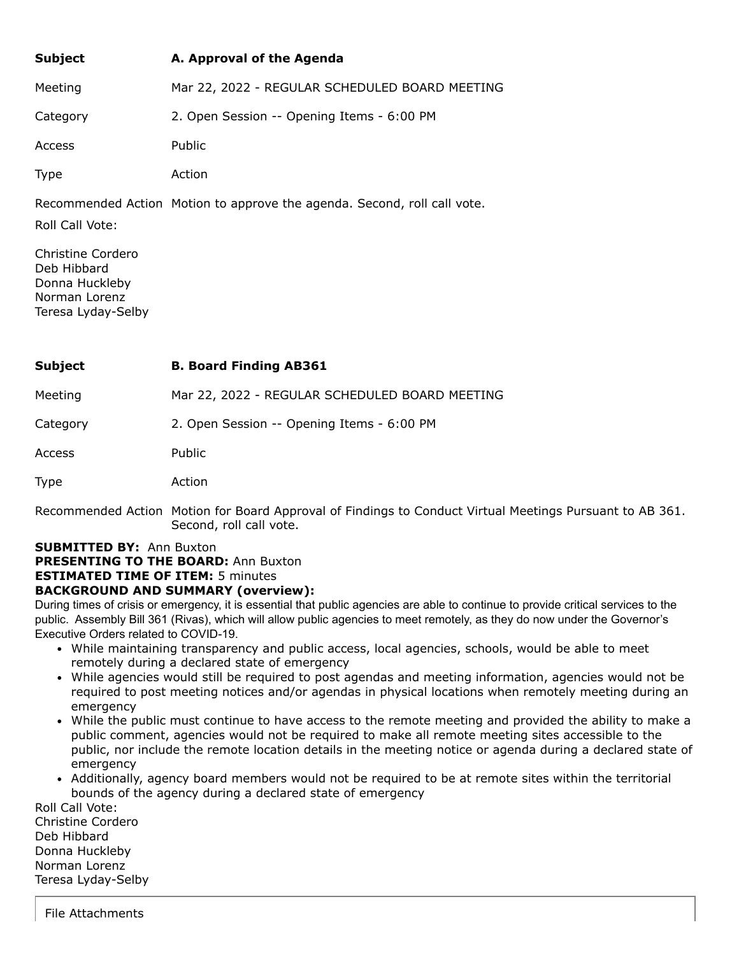| <b>Subject</b> | A. Approval of the Agenda                      |
|----------------|------------------------------------------------|
| Meeting        | Mar 22, 2022 - REGULAR SCHEDULED BOARD MEETING |
| Category       | 2. Open Session -- Opening Items - 6:00 PM     |
| <b>Access</b>  | Public                                         |
| Type           | Action                                         |

Recommended Action Motion to approve the agenda. Second, roll call vote.

Roll Call Vote:

Christine Cordero Deb Hibbard Donna Huckleby Norman Lorenz Teresa Lyday-Selby

| Subject | <b>B. Board Finding AB361</b> |
|---------|-------------------------------|
|---------|-------------------------------|

Meeting Mar 22, 2022 - REGULAR SCHEDULED BOARD MEETING

Category 2. Open Session -- Opening Items - 6:00 PM

Access Public

Type Action

Recommended Action Motion for Board Approval of Findings to Conduct Virtual Meetings Pursuant to AB 361. Second, roll call vote.

# **SUBMITTED BY:** Ann Buxton

**PRESENTING TO THE BOARD:** Ann Buxton

## **ESTIMATED TIME OF ITEM:** 5 minutes

### **BACKGROUND AND SUMMARY (overview):**

During times of crisis or emergency, it is essential that public agencies are able to continue to provide critical services to the public. Assembly Bill 361 (Rivas), which will allow public agencies to meet remotely, as they do now under the Governor's Executive Orders related to COVID-19.

- While maintaining transparency and public access, local agencies, schools, would be able to meet remotely during a declared state of emergency
- While agencies would still be required to post agendas and meeting information, agencies would not be required to post meeting notices and/or agendas in physical locations when remotely meeting during an emergency
- While the public must continue to have access to the remote meeting and provided the ability to make a public comment, agencies would not be required to make all remote meeting sites accessible to the public, nor include the remote location details in the meeting notice or agenda during a declared state of emergency
- Additionally, agency board members would not be required to be at remote sites within the territorial bounds of the agency during a declared state of emergency

Roll Call Vote: Christine Cordero Deb Hibbard Donna Huckleby Norman Lorenz Teresa Lyday-Selby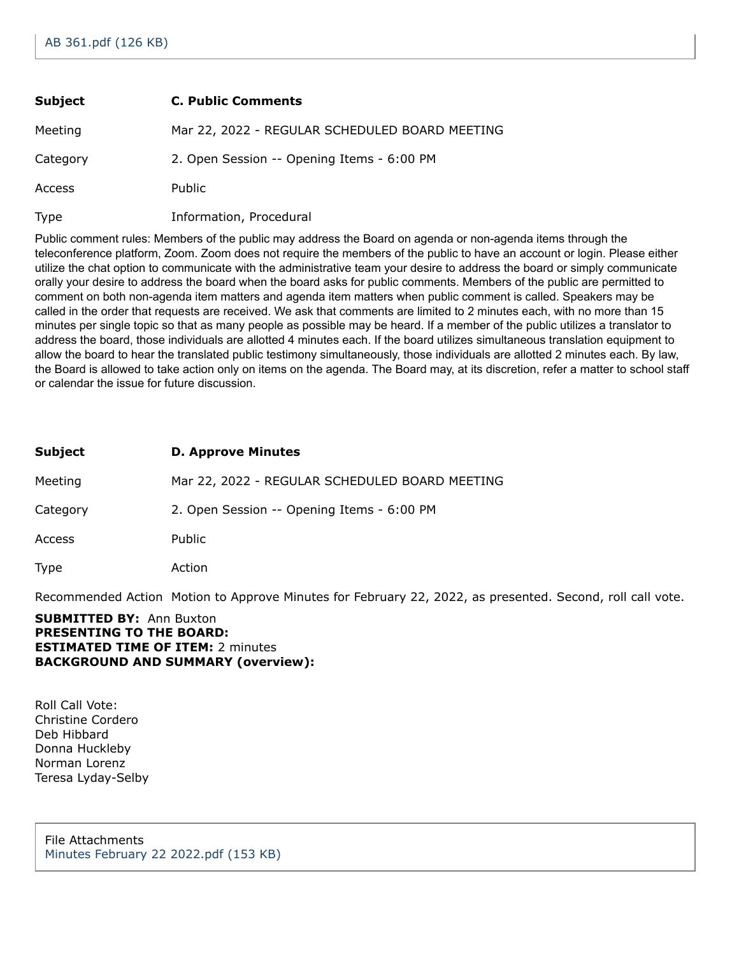| <b>Subject</b> | <b>C. Public Comments</b>                      |
|----------------|------------------------------------------------|
| Meeting        | Mar 22, 2022 - REGULAR SCHEDULED BOARD MEETING |
| Category       | 2. Open Session -- Opening Items - 6:00 PM     |
| Access         | Public                                         |
| Type           | Information, Procedural                        |

Public comment rules: Members of the public may address the Board on agenda or non-agenda items through the teleconference platform, Zoom. Zoom does not require the members of the public to have an account or login. Please either utilize the chat option to communicate with the administrative team your desire to address the board or simply communicate orally your desire to address the board when the board asks for public comments. Members of the public are permitted to comment on both non-agenda item matters and agenda item matters when public comment is called. Speakers may be called in the order that requests are received. We ask that comments are limited to 2 minutes each, with no more than 15 minutes per single topic so that as many people as possible may be heard. If a member of the public utilizes a translator to address the board, those individuals are allotted 4 minutes each. If the board utilizes simultaneous translation equipment to allow the board to hear the translated public testimony simultaneously, those individuals are allotted 2 minutes each. By law, the Board is allowed to take action only on items on the agenda. The Board may, at its discretion, refer a matter to school staff or calendar the issue for future discussion.

| Subject  | <b>D. Approve Minutes</b>                      |
|----------|------------------------------------------------|
| Meeting  | Mar 22, 2022 - REGULAR SCHEDULED BOARD MEETING |
| Category | 2. Open Session -- Opening Items - 6:00 PM     |
| Access   | Public                                         |
| Type     | Action                                         |

Recommended Action Motion to Approve Minutes for February 22, 2022, as presented. Second, roll call vote.

#### **SUBMITTED BY:** Ann Buxton **PRESENTING TO THE BOARD: ESTIMATED TIME OF ITEM:** 2 minutes **BACKGROUND AND SUMMARY (overview):**

Roll Call Vote: Christine Cordero Deb Hibbard Donna Huckleby Norman Lorenz Teresa Lyday-Selby

File Attachments [Minutes February 22 2022.pdf \(153 KB\)](https://go.boarddocs.com/ca/cottonwood/Board.nsf/files/CCAMNY59D70C/$file/Minutes%20February%2022%202022.pdf)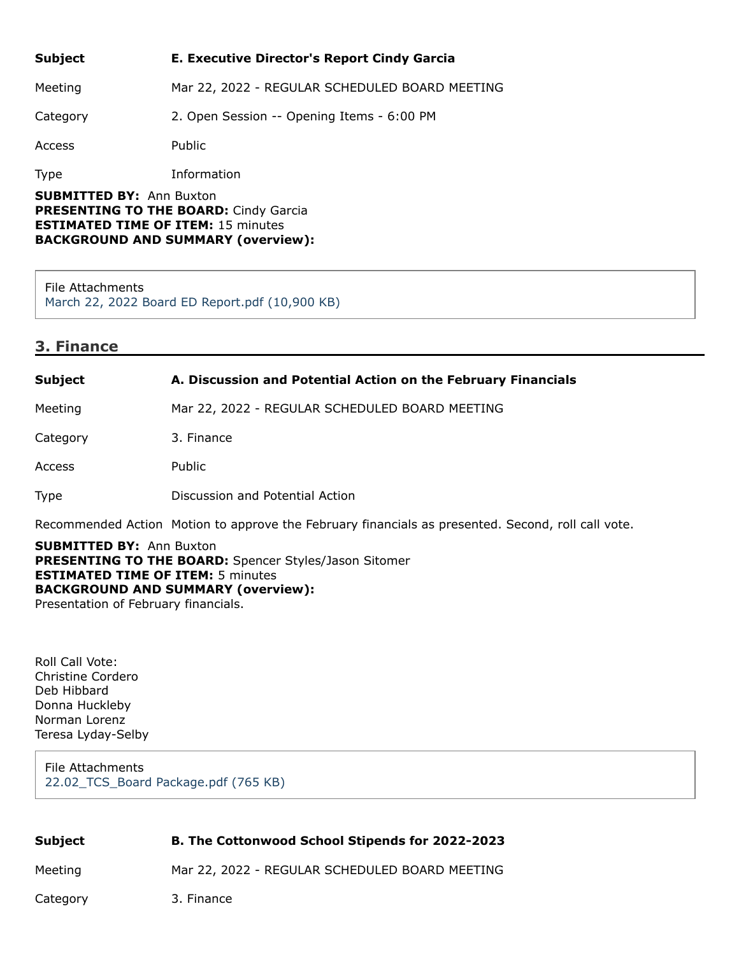**Subject E. Executive Director's Report Cindy Garcia** Meeting Mar 22, 2022 - REGULAR SCHEDULED BOARD MEETING Category 2. Open Session -- Opening Items - 6:00 PM Access Public Type Information

**SUBMITTED BY:** Ann Buxton **PRESENTING TO THE BOARD:** Cindy Garcia **ESTIMATED TIME OF ITEM:** 15 minutes **BACKGROUND AND SUMMARY (overview):**

File Attachments [March 22, 2022 Board ED Report.pdf \(10,900 KB\)](https://go.boarddocs.com/ca/cottonwood/Board.nsf/files/CCLPDF6288EF/$file/March%2022%2C%202022%20Board%20ED%20Report.pdf)

### **3. Finance**

| <b>Subject</b> | A. Discussion and Potential Action on the February Financials |
|----------------|---------------------------------------------------------------|
| Meeting        | Mar 22, 2022 - REGULAR SCHEDULED BOARD MEETING                |
| Category       | 3. Finance                                                    |
| Access         | Public                                                        |
| <b>Type</b>    | Discussion and Potential Action                               |

Recommended Action Motion to approve the February financials as presented. Second, roll call vote.

**SUBMITTED BY:** Ann Buxton **PRESENTING TO THE BOARD:** Spencer Styles/Jason Sitomer **ESTIMATED TIME OF ITEM:** 5 minutes **BACKGROUND AND SUMMARY (overview):** Presentation of February financials.

Roll Call Vote: Christine Cordero Deb Hibbard Donna Huckleby Norman Lorenz Teresa Lyday-Selby

File Attachments [22.02\\_TCS\\_Board Package.pdf \(765 KB\)](https://go.boarddocs.com/ca/cottonwood/Board.nsf/files/CCHKYY527645/$file/22.02_TCS_Board%20Package.pdf)

| Subject  | <b>B. The Cottonwood School Stipends for 2022-2023</b> |
|----------|--------------------------------------------------------|
| Meeting  | Mar 22, 2022 - REGULAR SCHEDULED BOARD MEETING         |
| Category | 3. Finance                                             |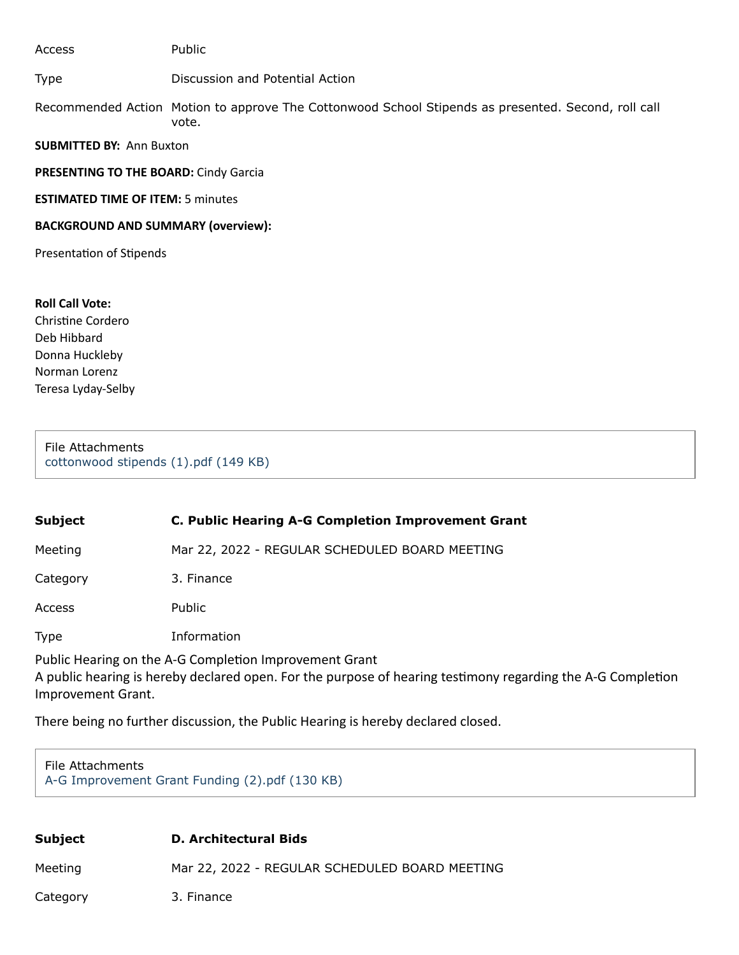**SUBMITTED BY:** Ann Buxton **PRESENTING TO THE BOARD:** Cindy Garcia **ESTIMATED TIME OF ITEM:** 5 minutes **BACKGROUND AND SUMMARY (overview):** Presentation of Stipends Access Public Type Discussion and Potential Action Recommended Action Motion to approve The Cottonwood School Stipends as presented. Second, roll call vote.

**Roll Call Vote:** Christine Cordero Deb Hibbard Donna Huckleby Norman Lorenz Teresa Lyday-Selby

File Attachments [cottonwood stipends \(1\).pdf \(149 KB\)](https://go.boarddocs.com/ca/cottonwood/Board.nsf/files/CCMSPV73B21B/$file/cottonwood%20stipends%20(1).pdf)

| <b>Subject</b>                                                                                                                                                                                                                                                                                   | C. Public Hearing A-G Completion Improvement Grant |
|--------------------------------------------------------------------------------------------------------------------------------------------------------------------------------------------------------------------------------------------------------------------------------------------------|----------------------------------------------------|
| Meeting                                                                                                                                                                                                                                                                                          | Mar 22, 2022 - REGULAR SCHEDULED BOARD MEETING     |
| Category                                                                                                                                                                                                                                                                                         | 3. Finance                                         |
| Access                                                                                                                                                                                                                                                                                           | Public                                             |
| <b>Type</b>                                                                                                                                                                                                                                                                                      | Information                                        |
| Public Hearing on the A-G Completion Improvement Grant<br>$\mathbf{A}$ . The final contract of the final contract of the final contract of the final contract of the final contract of the final contract of the final contract of the final contract of the final contract of the final co<br>. |                                                    |

A public hearing is hereby declared open. For the purpose of hearing testimony regarding the A-G Completion Improvement Grant.

There being no further discussion, the Public Hearing is hereby declared closed.

#### File Attachments [A-G Improvement Grant Funding \(2\).pdf \(130 KB\)](https://go.boarddocs.com/ca/cottonwood/Board.nsf/files/CCMSQV73D86E/$file/A-G%20Improvement%20Grant%20Funding%20(2).pdf)

| Subject  | <b>D. Architectural Bids</b>                   |
|----------|------------------------------------------------|
| Meeting  | Mar 22, 2022 - REGULAR SCHEDULED BOARD MEETING |
| Category | 3. Finance                                     |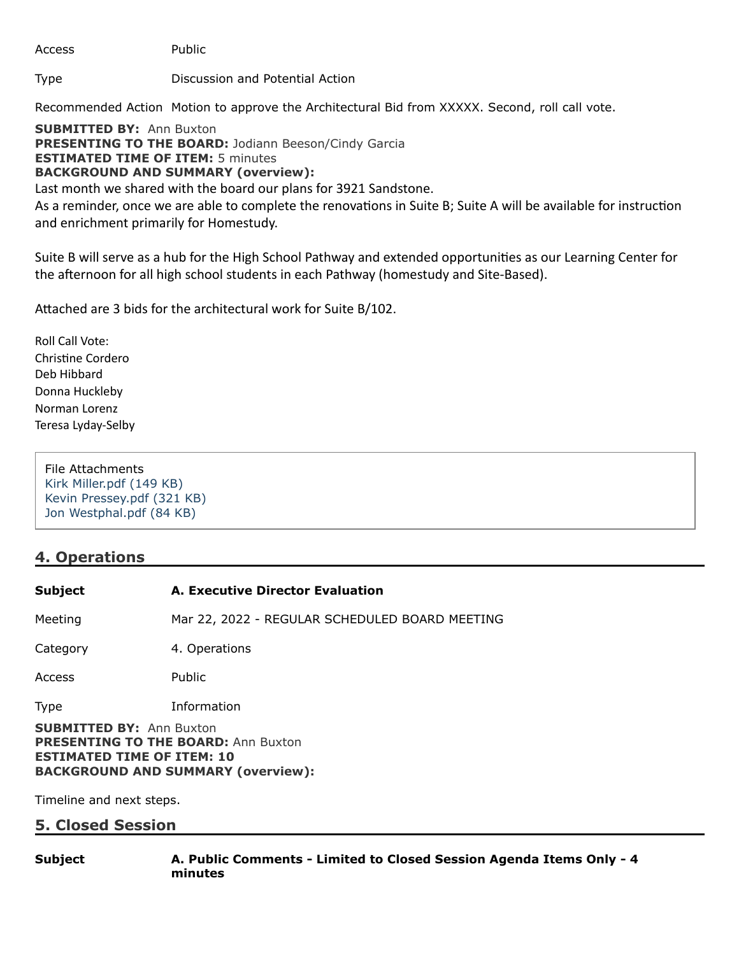Access Public

Type Discussion and Potential Action

Recommended Action Motion to approve the Architectural Bid from XXXXX. Second, roll call vote.

**SUBMITTED BY:** Ann Buxton **PRESENTING TO THE BOARD: Jodiann Beeson/Cindy Garcia ESTIMATED TIME OF ITEM:** 5 minutes **BACKGROUND AND SUMMARY (overview):**

Last month we shared with the board our plans for 3921 Sandstone.

As a reminder, once we are able to complete the renovations in Suite B; Suite A will be available for instruction and enrichment primarily for Homestudy.

Suite B will serve as a hub for the High School Pathway and extended opportunities as our Learning Center for the afternoon for all high school students in each Pathway (homestudy and Site-Based).

Attached are 3 bids for the architectural work for Suite B/102.

Roll Call Vote: Christine Cordero Deb Hibbard Donna Huckleby Norman Lorenz Teresa Lyday-Selby

File Attachments [Kirk Miller.pdf \(149 KB\)](https://go.boarddocs.com/ca/cottonwood/Board.nsf/files/CCMTKW77CD31/$file/Kirk%20Miller.pdf) [Kevin Pressey.pdf \(321 KB\)](https://go.boarddocs.com/ca/cottonwood/Board.nsf/files/CCMTKY77CE2D/$file/Kevin%20Pressey.pdf) [Jon Westphal.pdf \(84 KB\)](https://go.boarddocs.com/ca/cottonwood/Board.nsf/files/CCMTL277CEAD/$file/Jon%20Westphal.pdf)

# **4. Operations**

# **Subject A. Executive Director Evaluation**

Meeting Mar 22, 2022 - REGULAR SCHEDULED BOARD MEETING

Category 4. Operations

Access Public

Type Information

**SUBMITTED BY:** Ann Buxton **PRESENTING TO THE BOARD: Ann Buxton ESTIMATED TIME OF ITEM: 10 BACKGROUND AND SUMMARY (overview):**

Timeline and next steps.

# **5. Closed Session**

**Subject A. Public Comments - Limited to Closed Session Agenda Items Only - 4 minutes**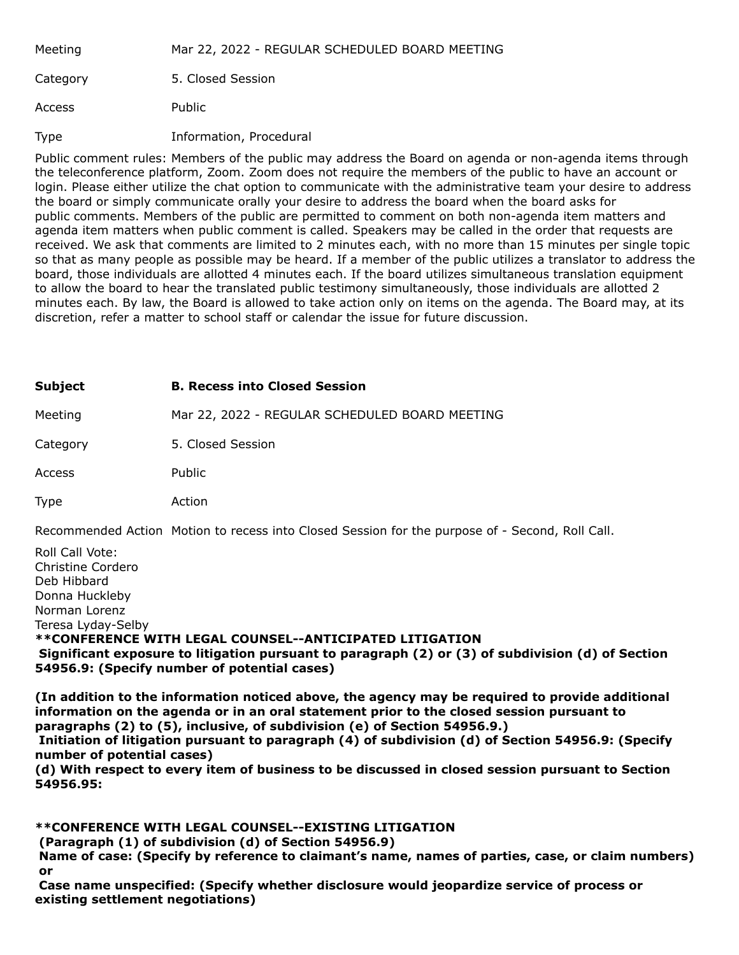| Meeting  | Mar 22, 2022 - REGULAR SCHEDULED BOARD MEETING |
|----------|------------------------------------------------|
| Category | 5. Closed Session                              |
| Access   | Public                                         |
| Type     | Information, Procedural                        |

Public comment rules: Members of the public may address the Board on agenda or non-agenda items through the teleconference platform, Zoom. Zoom does not require the members of the public to have an account or login. Please either utilize the chat option to communicate with the administrative team your desire to address the board or simply communicate orally your desire to address the board when the board asks for public comments. Members of the public are permitted to comment on both non-agenda item matters and agenda item matters when public comment is called. Speakers may be called in the order that requests are received. We ask that comments are limited to 2 minutes each, with no more than 15 minutes per single topic so that as many people as possible may be heard. If a member of the public utilizes a translator to address the board, those individuals are allotted 4 minutes each. If the board utilizes simultaneous translation equipment to allow the board to hear the translated public testimony simultaneously, those individuals are allotted 2 minutes each. By law, the Board is allowed to take action only on items on the agenda. The Board may, at its discretion, refer a matter to school staff or calendar the issue for future discussion.

| <b>Subject</b> | <b>B. Recess into Closed Session</b>           |
|----------------|------------------------------------------------|
| Meeting        | Mar 22, 2022 - REGULAR SCHEDULED BOARD MEETING |
| Category       | 5. Closed Session                              |
| Access         | Public                                         |
| <b>Type</b>    | Action                                         |

Recommended Action Motion to recess into Closed Session for the purpose of - Second, Roll Call.

Roll Call Vote: Christine Cordero Deb Hibbard Donna Huckleby Norman Lorenz Teresa Lyday-Selby **\*\*CONFERENCE WITH LEGAL COUNSEL--ANTICIPATED LITIGATION Significant exposure to litigation pursuant to paragraph (2) or (3) of subdivision (d) of Section 54956.9: (Specify number of potential cases)**

**(In addition to the information noticed above, the agency may be required to provide additional information on the agenda or in an oral statement prior to the closed session pursuant to paragraphs (2) to (5), inclusive, of subdivision (e) of Section 54956.9.)**

**Initiation of litigation pursuant to paragraph (4) of subdivision (d) of Section 54956.9: (Specify number of potential cases)**

**(d) With respect to every item of business to be discussed in closed session pursuant to Section 54956.95:**

**\*\*CONFERENCE WITH LEGAL COUNSEL--EXISTING LITIGATION**

**(Paragraph (1) of subdivision (d) of Section 54956.9)**

**Name of case: (Specify by reference to claimant's name, names of parties, case, or claim numbers) or**

**Case name unspecified: (Specify whether disclosure would jeopardize service of process or existing settlement negotiations)**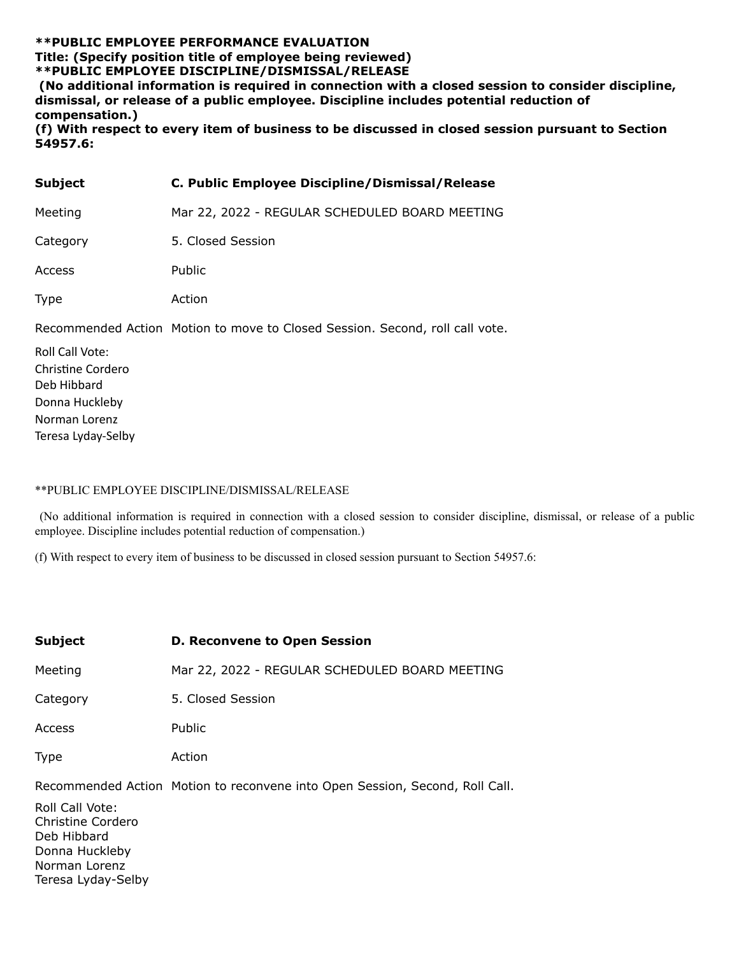### **\*\*PUBLIC EMPLOYEE PERFORMANCE EVALUATION Title: (Specify position title of employee being reviewed) \*\*PUBLIC EMPLOYEE DISCIPLINE/DISMISSAL/RELEASE**

**(No additional information is required in connection with a closed session to consider discipline, dismissal, or release of a public employee. Discipline includes potential reduction of compensation.)**

**(f) With respect to every item of business to be discussed in closed session pursuant to Section 54957.6:**

| <b>Subject</b>  | C. Public Employee Discipline/Dismissal/Release                              |
|-----------------|------------------------------------------------------------------------------|
| Meeting         | Mar 22, 2022 - REGULAR SCHEDULED BOARD MEETING                               |
| Category        | 5. Closed Session                                                            |
| Access          | Public                                                                       |
| <b>Type</b>     | Action                                                                       |
|                 | Recommended Action Motion to move to Closed Session. Second, roll call vote. |
| Roll Call Vote: |                                                                              |

Christine Cordero Deb Hibbard Donna Huckleby Norman Lorenz Teresa Lyday-Selby

#### \*\*PUBLIC EMPLOYEE DISCIPLINE/DISMISSAL/RELEASE

(No additional information is required in connection with a closed session to consider discipline, dismissal, or release of a public employee. Discipline includes potential reduction of compensation.)

(f) With respect to every item of business to be discussed in closed session pursuant to Section 54957.6:

| <b>Subject</b>                                                                                               | <b>D. Reconvene to Open Session</b>                                          |
|--------------------------------------------------------------------------------------------------------------|------------------------------------------------------------------------------|
| Meeting                                                                                                      | Mar 22, 2022 - REGULAR SCHEDULED BOARD MEETING                               |
| Category                                                                                                     | 5. Closed Session                                                            |
| <b>Access</b>                                                                                                | Public                                                                       |
| <b>Type</b>                                                                                                  | Action                                                                       |
| Roll Call Vote:<br>Christine Cordero<br>Deb Hibbard<br>Donna Huckleby<br>Norman Lorenz<br>Teresa Lyday-Selby | Recommended Action Motion to reconvene into Open Session, Second, Roll Call. |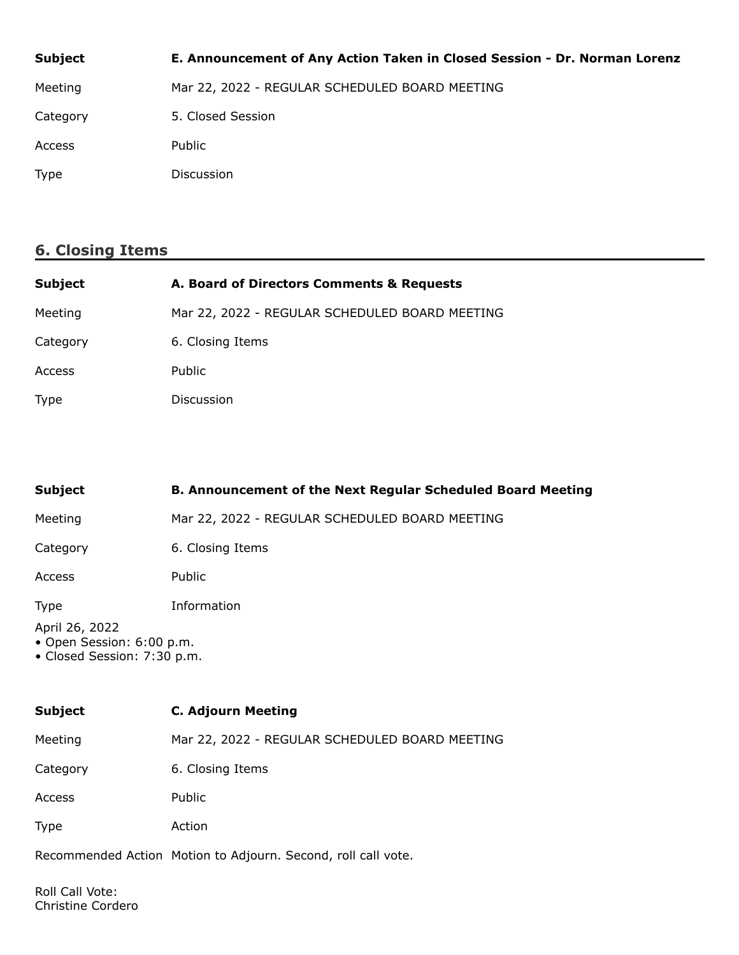| <b>Subject</b> | E. Announcement of Any Action Taken in Closed Session - Dr. Norman Lorenz |
|----------------|---------------------------------------------------------------------------|
| Meeting        | Mar 22, 2022 - REGULAR SCHEDULED BOARD MEETING                            |
| Category       | 5. Closed Session                                                         |
| Access         | Public                                                                    |
| Type           | <b>Discussion</b>                                                         |

## **6. Closing Items**

| <b>Subject</b> | A. Board of Directors Comments & Requests      |
|----------------|------------------------------------------------|
| Meeting        | Mar 22, 2022 - REGULAR SCHEDULED BOARD MEETING |
| Category       | 6. Closing Items                               |
| Access         | Public                                         |
| <b>Type</b>    | Discussion                                     |

| <b>Subject</b>                                                                                           | <b>B. Announcement of the Next Regular Scheduled Board Meeting</b> |  |
|----------------------------------------------------------------------------------------------------------|--------------------------------------------------------------------|--|
| Meeting                                                                                                  | Mar 22, 2022 - REGULAR SCHEDULED BOARD MEETING                     |  |
| Category                                                                                                 | 6. Closing Items                                                   |  |
| Access                                                                                                   | Public                                                             |  |
| Information<br><b>Type</b><br>April 26, 2022<br>• Open Session: 6:00 p.m.<br>• Closed Session: 7:30 p.m. |                                                                    |  |
|                                                                                                          |                                                                    |  |
| <b>Subject</b>                                                                                           | <b>C. Adjourn Meeting</b>                                          |  |
| Meeting                                                                                                  | Mar 22, 2022 - REGULAR SCHEDULED BOARD MEETING                     |  |
| Category                                                                                                 | 6. Closing Items                                                   |  |

Access Public

Type Action

Recommended Action Motion to Adjourn. Second, roll call vote.

Roll Call Vote: Christine Cordero